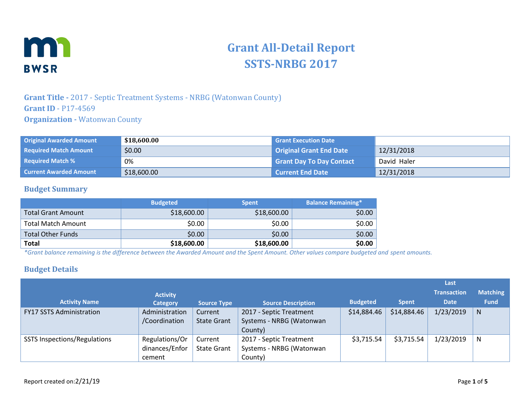

# **Grant All-Detail Report SSTS-NRBG 2017**

## **Grant Title -** 2017 - Septic Treatment Systems - NRBG (Watonwan County) **Grant ID** - P17-4569 **Organization -** Watonwan County

| <b>Original Awarded Amount</b> | \$18,600.00 | <b>Grant Execution Date</b>     |             |
|--------------------------------|-------------|---------------------------------|-------------|
| <b>Required Match Amount</b>   | \$0.00      | Original Grant End Date         | 12/31/2018  |
| <b>Required Match %</b>        | 0%          | <b>Grant Day To Day Contact</b> | David Haler |
| <b>Current Awarded Amount</b>  | \$18,600.00 | <b>Current End Date</b>         | 12/31/2018  |

#### **Budget Summary**

|                           | <b>Budgeted</b> | <b>Spent</b> | <b>Balance Remaining*</b> |
|---------------------------|-----------------|--------------|---------------------------|
| <b>Total Grant Amount</b> | \$18,600.00     | \$18,600.00  | \$0.00                    |
| <b>Total Match Amount</b> | \$0.00          | \$0.00       | \$0.00                    |
| <b>Total Other Funds</b>  | \$0.00          | \$0.00       | \$0.00                    |
| <b>Total</b>              | \$18,600.00     | \$18,600.00  | \$0.00                    |

*\*Grant balance remaining is the difference between the Awarded Amount and the Spent Amount. Other values compare budgeted and spent amounts.*

#### **Budget Details**

|                                     |                 |                    |                           |                 |              | Last               |                 |
|-------------------------------------|-----------------|--------------------|---------------------------|-----------------|--------------|--------------------|-----------------|
|                                     | <b>Activity</b> |                    |                           |                 |              | <b>Transaction</b> | <b>Matching</b> |
| <b>Activity Name</b>                | Category        | <b>Source Type</b> | <b>Source Description</b> | <b>Budgeted</b> | <b>Spent</b> | <b>Date</b>        | <b>Fund</b>     |
| <b>FY17 SSTS Administration</b>     | Administration  | Current            | 2017 - Septic Treatment   | \$14,884.46     | \$14,884.46  | 1/23/2019          | N.              |
|                                     | /Coordination   | <b>State Grant</b> | Systems - NRBG (Watonwan  |                 |              |                    |                 |
|                                     |                 |                    | County)                   |                 |              |                    |                 |
| <b>SSTS Inspections/Regulations</b> | Regulations/Or  | Current            | 2017 - Septic Treatment   | \$3,715.54      | \$3,715.54   | 1/23/2019          | N               |
|                                     | dinances/Enfor  | <b>State Grant</b> | Systems - NRBG (Watonwan  |                 |              |                    |                 |
|                                     | cement          |                    | County)                   |                 |              |                    |                 |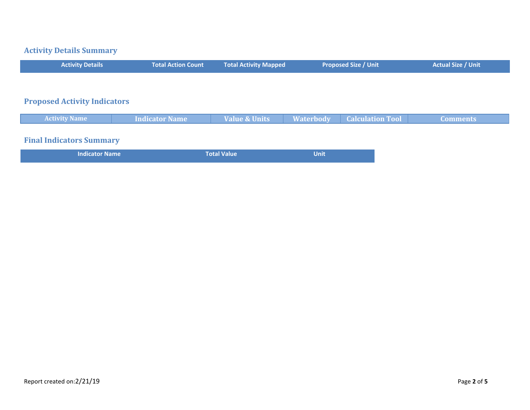# **Activity Details Summary**

| <b>Activity Details</b>             | <b>Total Action Count</b> | Total Activity Mapped | <b>Proposed Size / Unit</b> | <b>Actual Size / Unit</b> |
|-------------------------------------|---------------------------|-----------------------|-----------------------------|---------------------------|
|                                     |                           |                       |                             |                           |
| <b>Proposed Activity Indicators</b> |                           |                       |                             |                           |
|                                     |                           |                       |                             |                           |

| <b>Activity Name</b>            | <b>Indicator Name</b> | <b>Value &amp; Units</b> |       | <b>Waterbody Calculation Tool</b> | <b>Comments</b> |
|---------------------------------|-----------------------|--------------------------|-------|-----------------------------------|-----------------|
|                                 |                       |                          |       |                                   |                 |
| <b>Final Indicators Summary</b> |                       |                          |       |                                   |                 |
| <b>Indicator Name</b>           |                       | <b>Total Value</b>       | Unitl |                                   |                 |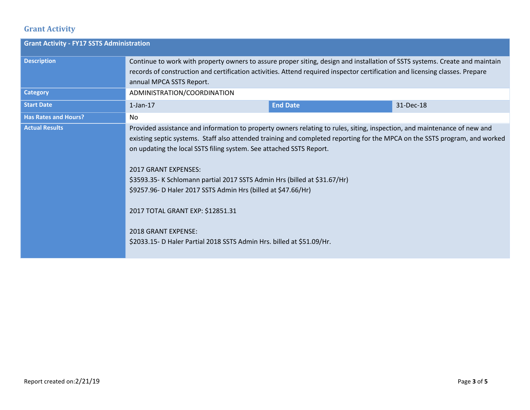# **Grant Activity**

| <b>Grant Activity - FY17 SSTS Administration</b> |                                                                                                                                                                                                                                                                                                                                                                                                                                                                                                                                                                                                                                                |                 |           |  |
|--------------------------------------------------|------------------------------------------------------------------------------------------------------------------------------------------------------------------------------------------------------------------------------------------------------------------------------------------------------------------------------------------------------------------------------------------------------------------------------------------------------------------------------------------------------------------------------------------------------------------------------------------------------------------------------------------------|-----------------|-----------|--|
| <b>Description</b>                               | Continue to work with property owners to assure proper siting, design and installation of SSTS systems. Create and maintain<br>records of construction and certification activities. Attend required inspector certification and licensing classes. Prepare                                                                                                                                                                                                                                                                                                                                                                                    |                 |           |  |
|                                                  | annual MPCA SSTS Report.                                                                                                                                                                                                                                                                                                                                                                                                                                                                                                                                                                                                                       |                 |           |  |
| <b>Category</b>                                  | ADMINISTRATION/COORDINATION                                                                                                                                                                                                                                                                                                                                                                                                                                                                                                                                                                                                                    |                 |           |  |
| <b>Start Date</b>                                | $1$ -Jan- $17$                                                                                                                                                                                                                                                                                                                                                                                                                                                                                                                                                                                                                                 | <b>End Date</b> | 31-Dec-18 |  |
| <b>Has Rates and Hours?</b>                      | No                                                                                                                                                                                                                                                                                                                                                                                                                                                                                                                                                                                                                                             |                 |           |  |
| <b>Actual Results</b>                            | Provided assistance and information to property owners relating to rules, siting, inspection, and maintenance of new and<br>existing septic systems. Staff also attended training and completed reporting for the MPCA on the SSTS program, and worked<br>on updating the local SSTS filing system. See attached SSTS Report.<br><b>2017 GRANT EXPENSES:</b><br>\$3593.35- K Schlomann partial 2017 SSTS Admin Hrs (billed at \$31.67/Hr)<br>\$9257.96- D Haler 2017 SSTS Admin Hrs (billed at \$47.66/Hr)<br>2017 TOTAL GRANT EXP: \$12851.31<br>2018 GRANT EXPENSE:<br>\$2033.15- D Haler Partial 2018 SSTS Admin Hrs. billed at \$51.09/Hr. |                 |           |  |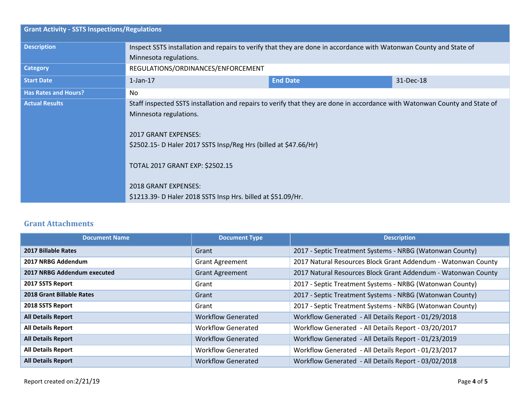| <b>Grant Activity - SSTS Inspections/Regulations</b> |                                                                                                                            |                 |           |  |
|------------------------------------------------------|----------------------------------------------------------------------------------------------------------------------------|-----------------|-----------|--|
| <b>Description</b>                                   | Inspect SSTS installation and repairs to verify that they are done in accordance with Watonwan County and State of         |                 |           |  |
|                                                      | Minnesota regulations.                                                                                                     |                 |           |  |
| <b>Category</b>                                      | REGULATIONS/ORDINANCES/ENFORCEMENT                                                                                         |                 |           |  |
| <b>Start Date</b>                                    | $1$ -Jan- $17$                                                                                                             | <b>End Date</b> | 31-Dec-18 |  |
| <b>Has Rates and Hours?</b>                          | No.                                                                                                                        |                 |           |  |
| <b>Actual Results</b>                                | Staff inspected SSTS installation and repairs to verify that they are done in accordance with Watonwan County and State of |                 |           |  |
|                                                      | Minnesota regulations.                                                                                                     |                 |           |  |
|                                                      | <b>2017 GRANT EXPENSES:</b>                                                                                                |                 |           |  |
|                                                      |                                                                                                                            |                 |           |  |
|                                                      | \$2502.15- D Haler 2017 SSTS Insp/Reg Hrs (billed at \$47.66/Hr)                                                           |                 |           |  |
|                                                      | TOTAL 2017 GRANT EXP: \$2502.15                                                                                            |                 |           |  |
|                                                      |                                                                                                                            |                 |           |  |
|                                                      | <b>2018 GRANT EXPENSES:</b>                                                                                                |                 |           |  |
|                                                      | \$1213.39- D Haler 2018 SSTS Insp Hrs. billed at \$51.09/Hr.                                                               |                 |           |  |

### **Grant Attachments**

| <b>Document Name</b>        | <b>Document Type</b>      | <b>Description</b>                                            |
|-----------------------------|---------------------------|---------------------------------------------------------------|
| <b>2017 Billable Rates</b>  | Grant                     | 2017 - Septic Treatment Systems - NRBG (Watonwan County)      |
| 2017 NRBG Addendum          | <b>Grant Agreement</b>    | 2017 Natural Resources Block Grant Addendum - Watonwan County |
| 2017 NRBG Addendum executed | <b>Grant Agreement</b>    | 2017 Natural Resources Block Grant Addendum - Watonwan County |
| 2017 SSTS Report            | Grant                     | 2017 - Septic Treatment Systems - NRBG (Watonwan County)      |
| 2018 Grant Billable Rates   | Grant                     | 2017 - Septic Treatment Systems - NRBG (Watonwan County)      |
| 2018 SSTS Report            | Grant                     | 2017 - Septic Treatment Systems - NRBG (Watonwan County)      |
| <b>All Details Report</b>   | <b>Workflow Generated</b> | Workflow Generated - All Details Report - 01/29/2018          |
| <b>All Details Report</b>   | <b>Workflow Generated</b> | Workflow Generated - All Details Report - 03/20/2017          |
| <b>All Details Report</b>   | <b>Workflow Generated</b> | Workflow Generated - All Details Report - 01/23/2019          |
| <b>All Details Report</b>   | <b>Workflow Generated</b> | Workflow Generated - All Details Report - 01/23/2017          |
| <b>All Details Report</b>   | <b>Workflow Generated</b> | Workflow Generated - All Details Report - 03/02/2018          |